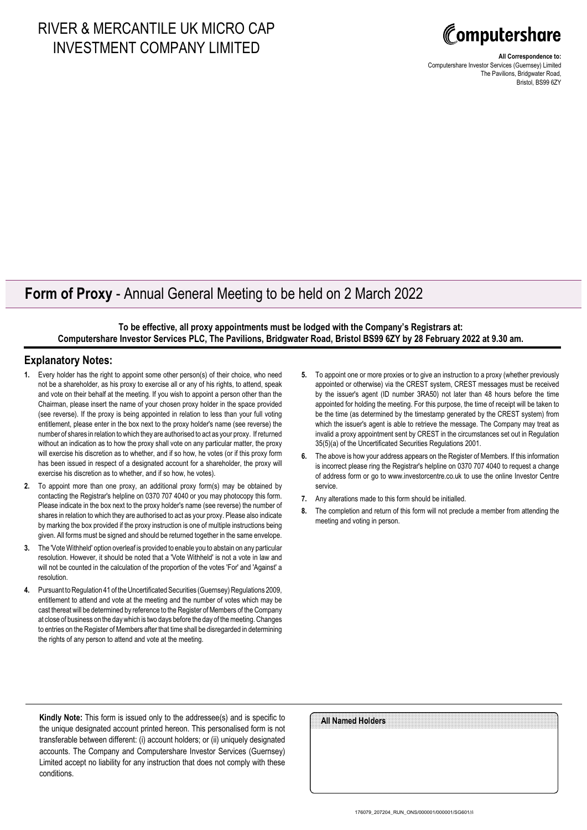## RIVER & MERCANTILE UK MICRO CAP INVESTMENT COMPANY LIMITED



**All Correspondence to:** Computershare Investor Services (Guernsey) Limited The Pavilions, Bridgwater Road, Bristol, BS99 6ZY

## **Form of Proxy** - Annual General Meeting to be held on 2 March 2022

**To be effective, all proxy appointments must be lodged with the Company's Registrars at: Computershare Investor Services PLC, The Pavilions, Bridgwater Road, Bristol BS99 6ZY by 28 February 2022 at 9.30 am.**

## **Explanatory Notes:**

- **1.** Every holder has the right to appoint some other person(s) of their choice, who need not be a shareholder, as his proxy to exercise all or any of his rights, to attend, speak and vote on their behalf at the meeting. If you wish to appoint a person other than the Chairman, please insert the name of your chosen proxy holder in the space provided (see reverse). If the proxy is being appointed in relation to less than your full voting entitlement, please enter in the box next to the proxy holder's name (see reverse) the number of shares in relation to which they are authorised to act as your proxy. If returned without an indication as to how the proxy shall vote on any particular matter, the proxy will exercise his discretion as to whether, and if so how, he votes (or if this proxy form has been issued in respect of a designated account for a shareholder, the proxy will exercise his discretion as to whether, and if so how, he votes).
- **2.** To appoint more than one proxy, an additional proxy form(s) may be obtained by contacting the Registrar's helpline on 0370 707 4040 or you may photocopy this form. Please indicate in the box next to the proxy holder's name (see reverse) the number of shares in relation to which they are authorised to act as your proxy. Please also indicate by marking the box provided if the proxy instruction is one of multiple instructions being given. All forms must be signed and should be returned together in the same envelope.
- **3.** The 'Vote Withheld' option overleaf is provided to enable you to abstain on any particular resolution. However, it should be noted that a 'Vote Withheld' is not a vote in law and will not be counted in the calculation of the proportion of the votes 'For' and 'Against' a resolution.
- **4.** Pursuant to Regulation 41 of the Uncertificated Securities (Guernsey) Regulations 2009, entitlement to attend and vote at the meeting and the number of votes which may be cast thereat will be determined by reference to the Register of Members of the Company at close of business on the day which is two days before the day of the meeting. Changes to entries on the Register of Members after that time shall be disregarded in determining the rights of any person to attend and vote at the meeting.
- **5.** To appoint one or more proxies or to give an instruction to a proxy (whether previously appointed or otherwise) via the CREST system, CREST messages must be received by the issuer's agent (ID number 3RA50) not later than 48 hours before the time appointed for holding the meeting. For this purpose, the time of receipt will be taken to be the time (as determined by the timestamp generated by the CREST system) from which the issuer's agent is able to retrieve the message. The Company may treat as invalid a proxy appointment sent by CREST in the circumstances set out in Regulation 35(5)(a) of the Uncertificated Securities Regulations 2001.
- **6.** The above is how your address appears on the Register of Members. If this information is incorrect please ring the Registrar's helpline on 0370 707 4040 to request a change of address form or go to www.investorcentre.co.uk to use the online Investor Centre service.
- **7.** Any alterations made to this form should be initialled.
- **8.** The completion and return of this form will not preclude a member from attending the meeting and voting in person.

**Kindly Note:** This form is issued only to the addressee(s) and is specific to the unique designated account printed hereon. This personalised form is not transferable between different: (i) account holders; or (ii) uniquely designated accounts. The Company and Computershare Investor Services (Guernsey) Limited accept no liability for any instruction that does not comply with these conditions.

| All Named Holders |  |  |  |  |
|-------------------|--|--|--|--|
|                   |  |  |  |  |
|                   |  |  |  |  |
|                   |  |  |  |  |
|                   |  |  |  |  |